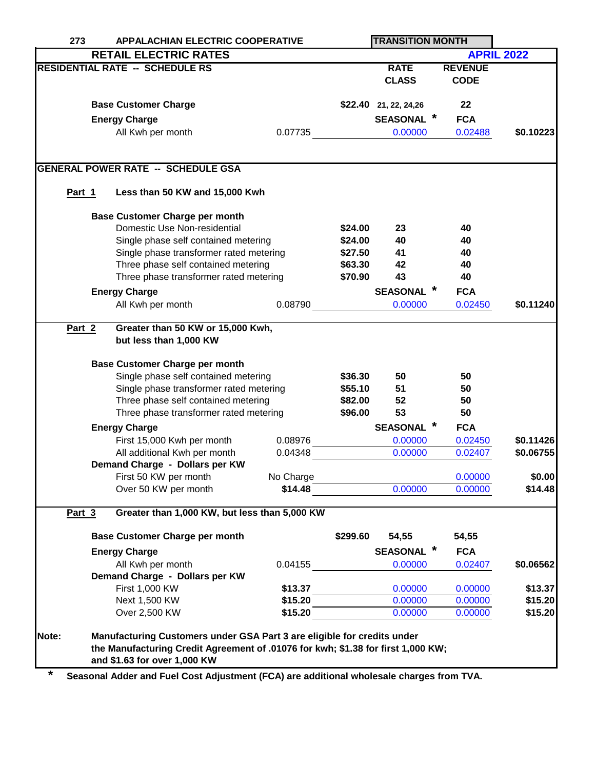|                                        | <b>APPALACHIAN ELECTRIC COOPERATIVE</b><br>273 |                                                                                                                                                                                             |                      | <b>TRANSITION MONTH</b> |                        |                    |                   |  |  |  |
|----------------------------------------|------------------------------------------------|---------------------------------------------------------------------------------------------------------------------------------------------------------------------------------------------|----------------------|-------------------------|------------------------|--------------------|-------------------|--|--|--|
|                                        |                                                | <b>RETAIL ELECTRIC RATES</b>                                                                                                                                                                |                      |                         |                        |                    | <b>APRIL 2022</b> |  |  |  |
| <b>RESIDENTIAL RATE -- SCHEDULE RS</b> |                                                |                                                                                                                                                                                             |                      |                         | <b>RATE</b>            | <b>REVENUE</b>     |                   |  |  |  |
|                                        |                                                |                                                                                                                                                                                             |                      |                         | <b>CLASS</b>           | <b>CODE</b>        |                   |  |  |  |
|                                        |                                                |                                                                                                                                                                                             |                      |                         |                        |                    |                   |  |  |  |
|                                        |                                                | <b>Base Customer Charge</b>                                                                                                                                                                 |                      |                         | \$22.40 21, 22, 24, 26 | 22                 |                   |  |  |  |
|                                        | <b>Energy Charge</b>                           |                                                                                                                                                                                             |                      |                         | <b>SEASONAL</b>        | <b>FCA</b>         |                   |  |  |  |
|                                        |                                                | All Kwh per month                                                                                                                                                                           | 0.07735              |                         | 0.00000                | 0.02488            | \$0.10223         |  |  |  |
|                                        |                                                |                                                                                                                                                                                             |                      |                         |                        |                    |                   |  |  |  |
|                                        |                                                |                                                                                                                                                                                             |                      |                         |                        |                    |                   |  |  |  |
|                                        |                                                | <b>GENERAL POWER RATE -- SCHEDULE GSA</b>                                                                                                                                                   |                      |                         |                        |                    |                   |  |  |  |
| Part 1                                 |                                                | Less than 50 KW and 15,000 Kwh                                                                                                                                                              |                      |                         |                        |                    |                   |  |  |  |
|                                        |                                                |                                                                                                                                                                                             |                      |                         |                        |                    |                   |  |  |  |
|                                        |                                                | <b>Base Customer Charge per month</b>                                                                                                                                                       |                      |                         |                        |                    |                   |  |  |  |
|                                        |                                                | Domestic Use Non-residential                                                                                                                                                                |                      | \$24.00                 | 23                     | 40                 |                   |  |  |  |
|                                        |                                                | Single phase self contained metering                                                                                                                                                        |                      | \$24.00                 | 40                     | 40                 |                   |  |  |  |
|                                        |                                                | Single phase transformer rated metering                                                                                                                                                     |                      | \$27.50                 | 41                     | 40                 |                   |  |  |  |
|                                        |                                                | Three phase self contained metering                                                                                                                                                         |                      | \$63.30                 | 42                     | 40                 |                   |  |  |  |
|                                        |                                                | Three phase transformer rated metering                                                                                                                                                      |                      | \$70.90                 | 43                     | 40                 |                   |  |  |  |
|                                        |                                                | <b>Energy Charge</b>                                                                                                                                                                        |                      |                         | <b>SEASONAL</b>        | <b>FCA</b>         |                   |  |  |  |
|                                        |                                                | All Kwh per month                                                                                                                                                                           | 0.08790              |                         | 0.00000                | 0.02450            | \$0.11240         |  |  |  |
|                                        |                                                |                                                                                                                                                                                             |                      |                         |                        |                    |                   |  |  |  |
| Part 2                                 | Greater than 50 KW or 15,000 Kwh,              |                                                                                                                                                                                             |                      |                         |                        |                    |                   |  |  |  |
|                                        | but less than 1,000 KW                         |                                                                                                                                                                                             |                      |                         |                        |                    |                   |  |  |  |
|                                        |                                                | <b>Base Customer Charge per month</b>                                                                                                                                                       |                      |                         |                        |                    |                   |  |  |  |
|                                        |                                                |                                                                                                                                                                                             | \$36.30              | 50                      | 50                     |                    |                   |  |  |  |
|                                        | Single phase self contained metering           |                                                                                                                                                                                             |                      | \$55.10                 | 51                     | 50                 |                   |  |  |  |
|                                        |                                                | Single phase transformer rated metering<br>Three phase self contained metering                                                                                                              |                      | \$82.00                 | 52                     | 50                 |                   |  |  |  |
|                                        |                                                | Three phase transformer rated metering                                                                                                                                                      |                      | \$96.00                 | 53                     | 50                 |                   |  |  |  |
|                                        |                                                |                                                                                                                                                                                             |                      |                         | $\ast$                 |                    |                   |  |  |  |
|                                        |                                                | <b>Energy Charge</b>                                                                                                                                                                        |                      |                         | <b>SEASONAL</b>        | <b>FCA</b>         |                   |  |  |  |
|                                        |                                                | First 15,000 Kwh per month                                                                                                                                                                  | 0.08976              |                         | 0.00000                | 0.02450            | \$0.11426         |  |  |  |
|                                        |                                                | All additional Kwh per month                                                                                                                                                                | 0.04348              |                         | 0.00000                | 0.02407            | \$0.06755         |  |  |  |
|                                        |                                                | Demand Charge - Dollars per KW                                                                                                                                                              |                      |                         |                        |                    | \$0.00            |  |  |  |
|                                        |                                                | First 50 KW per month<br>Over 50 KW per month                                                                                                                                               | No Charge<br>\$14.48 |                         | 0.00000                | 0.00000<br>0.00000 | \$14.48           |  |  |  |
|                                        |                                                |                                                                                                                                                                                             |                      |                         |                        |                    |                   |  |  |  |
| Part 3                                 |                                                | Greater than 1,000 KW, but less than 5,000 KW                                                                                                                                               |                      |                         |                        |                    |                   |  |  |  |
|                                        |                                                | <b>Base Customer Charge per month</b>                                                                                                                                                       |                      | \$299.60                | 54,55                  | 54,55              |                   |  |  |  |
|                                        |                                                | <b>Energy Charge</b>                                                                                                                                                                        |                      |                         | <b>SEASONAL</b>        | <b>FCA</b>         |                   |  |  |  |
|                                        |                                                | All Kwh per month                                                                                                                                                                           | 0.04155              |                         |                        |                    | \$0.06562         |  |  |  |
|                                        |                                                | Demand Charge - Dollars per KW                                                                                                                                                              |                      |                         | 0.00000                | 0.02407            |                   |  |  |  |
|                                        |                                                | First 1,000 KW                                                                                                                                                                              | \$13.37              |                         | 0.00000                | 0.00000            | \$13.37           |  |  |  |
|                                        |                                                | Next 1,500 KW                                                                                                                                                                               | \$15.20              |                         | 0.00000                | 0.00000            | \$15.20           |  |  |  |
|                                        |                                                | Over 2,500 KW                                                                                                                                                                               | \$15.20              |                         | 0.00000                | 0.00000            | \$15.20           |  |  |  |
|                                        |                                                |                                                                                                                                                                                             |                      |                         |                        |                    |                   |  |  |  |
| Note:                                  |                                                | Manufacturing Customers under GSA Part 3 are eligible for credits under<br>the Manufacturing Credit Agreement of .01076 for kwh; \$1.38 for first 1,000 KW;<br>and \$1.63 for over 1,000 KW |                      |                         |                        |                    |                   |  |  |  |

**\* Seasonal Adder and Fuel Cost Adjustment (FCA) are additional wholesale charges from TVA.**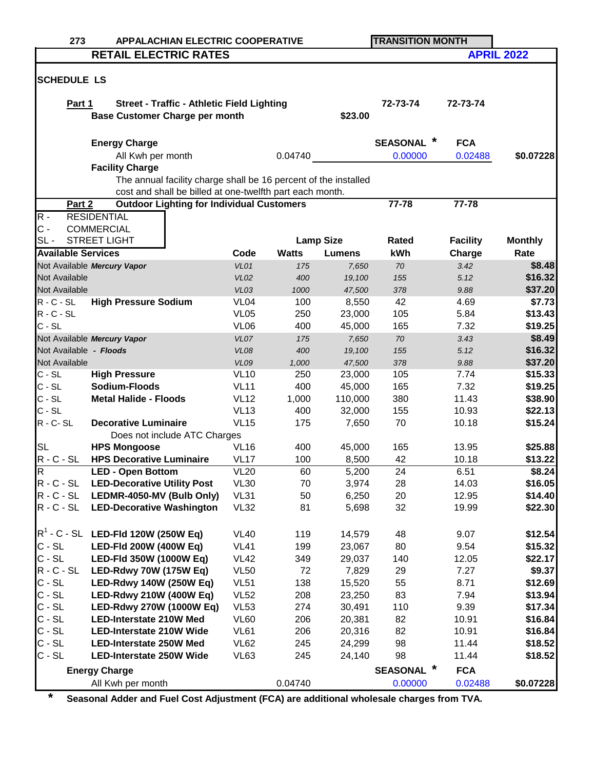| 273                       | <b>APPALACHIAN ELECTRIC COOPERATIVE</b>                         |                     |              |                  | <b>TRANSITION MONTH</b>   |                 |                          |
|---------------------------|-----------------------------------------------------------------|---------------------|--------------|------------------|---------------------------|-----------------|--------------------------|
|                           | <b>RETAIL ELECTRIC RATES</b>                                    |                     |              |                  |                           |                 | <b>APRIL 2022</b>        |
|                           |                                                                 |                     |              |                  |                           |                 |                          |
| <b>SCHEDULE LS</b>        |                                                                 |                     |              |                  |                           |                 |                          |
|                           | <b>Street - Traffic - Athletic Field Lighting</b>               |                     |              |                  | 72-73-74                  | 72-73-74        |                          |
| Part 1                    | <b>Base Customer Charge per month</b>                           |                     |              | \$23.00          |                           |                 |                          |
|                           |                                                                 |                     |              |                  |                           |                 |                          |
|                           | <b>Energy Charge</b>                                            |                     |              |                  | <b>SEASONAL</b>           | <b>FCA</b>      |                          |
|                           |                                                                 |                     | 0.04740      |                  | 0.00000                   |                 | \$0.07228                |
|                           | All Kwh per month<br><b>Facility Charge</b>                     |                     |              |                  |                           | 0.02488         |                          |
|                           | The annual facility charge shall be 16 percent of the installed |                     |              |                  |                           |                 |                          |
|                           | cost and shall be billed at one-twelfth part each month.        |                     |              |                  |                           |                 |                          |
| Part 2                    | <b>Outdoor Lighting for Individual Customers</b>                |                     |              |                  | 77-78                     | 77-78           |                          |
| $R -$                     | <b>RESIDENTIAL</b>                                              |                     |              |                  |                           |                 |                          |
| $C -$                     | <b>COMMERCIAL</b>                                               |                     |              |                  |                           |                 |                          |
| $SL -$                    | <b>STREET LIGHT</b>                                             |                     |              | <b>Lamp Size</b> | Rated                     | <b>Facility</b> | <b>Monthly</b>           |
| <b>Available Services</b> |                                                                 | Code                | <b>Watts</b> | <b>Lumens</b>    | kWh                       | Charge          | Rate                     |
|                           | Not Available Mercury Vapor                                     | VL01                | 175          | 7,650            | 70                        | 3.42            | \$8.48                   |
| Not Available             |                                                                 | <b>VL02</b>         | 400          | 19,100           | 155                       | 5.12            | \$16.32                  |
| Not Available             |                                                                 | VL03                | 1000         | 47,500           | 378                       | 9.88            | \$37.20                  |
| $R - C - SL$              | <b>High Pressure Sodium</b>                                     | VL <sub>04</sub>    | 100          | 8,550            | 42                        | 4.69            | \$7.73                   |
| $R - C - SL$              |                                                                 | <b>VL05</b>         | 250          | 23,000           | 105                       | 5.84            | \$13.43                  |
| $C - SL$                  |                                                                 | VL <sub>06</sub>    | 400          | 45,000           | 165                       | 7.32            | \$19.25                  |
|                           | Not Available Mercury Vapor                                     | VL07                | 175          | 7,650            | $70\,$                    | 3.43            | \$8.49                   |
| Not Available - Floods    |                                                                 | <b>VL08</b>         | 400          | 19,100           | 155                       | 5.12            | \$16.32                  |
| Not Available             |                                                                 | <b>VL09</b>         | 1,000        | 47,500           | 378                       | 9.88            | \$37.20                  |
| $C - SL$                  | <b>High Pressure</b>                                            | <b>VL10</b>         | 250          | 23,000           | 105                       | 7.74            | \$15.33                  |
| $C - SL$                  | Sodium-Floods                                                   | <b>VL11</b>         | 400          | 45,000           | 165                       | 7.32            | \$19.25                  |
| $C - SL$                  | <b>Metal Halide - Floods</b>                                    | <b>VL12</b>         | 1,000        | 110,000          | 380                       | 11.43           | \$38.90                  |
| $C - SL$                  |                                                                 | <b>VL13</b>         | 400          | 32,000           | 155                       | 10.93           | \$22.13                  |
| $R - C - SL$              | <b>Decorative Luminaire</b>                                     | <b>VL15</b>         | 175          | 7,650            | 70                        | 10.18           | \$15.24                  |
|                           | Does not include ATC Charges                                    |                     |              |                  |                           |                 |                          |
| <b>SL</b>                 | <b>HPS Mongoose</b>                                             | <b>VL16</b>         | 400          | 45,000           | 165                       | 13.95           | \$25.88                  |
| $R - C - SL$              | <b>HPS Decorative Luminaire</b>                                 | <b>VL17</b>         | 100          | 8,500            | 42                        | 10.18           | \$13.22                  |
| IR.<br>$R - C - SL$       | <b>LED - Open Bottom</b><br><b>LED-Decorative Utility Post</b>  | VL20<br><b>VL30</b> | 60<br>70     | 5,200<br>3,974   | 24<br>28                  | 6.51<br>14.03   | <b>\$8.24</b><br>\$16.05 |
| $R - C - SL$              | LEDMR-4050-MV (Bulb Only)                                       | <b>VL31</b>         | 50           | 6,250            | 20                        | 12.95           | \$14.40                  |
| $R - C - SL$              | <b>LED-Decorative Washington</b>                                | <b>VL32</b>         | 81           | 5,698            | 32                        | 19.99           | \$22.30                  |
|                           |                                                                 |                     |              |                  |                           |                 |                          |
|                           | $R^1$ - C - SL LED-FId 120W (250W Eq)                           | <b>VL40</b>         | 119          | 14,579           | 48                        | 9.07            | \$12.54                  |
| $C - SL$                  | LED-Fld 200W (400W Eq)                                          | <b>VL41</b>         | 199          | 23,067           | 80                        | 9.54            | \$15.32                  |
| $C - SL$                  | LED-Fld 350W (1000W Eq)                                         | <b>VL42</b>         | 349          | 29,037           | 140                       | 12.05           | \$22.17                  |
| $R - C - SL$              | LED-Rdwy 70W (175W Eq)                                          | <b>VL50</b>         | 72           | 7,829            | 29                        | 7.27            | \$9.37                   |
| $C - SL$                  | LED-Rdwy 140W (250W Eq)                                         | <b>VL51</b>         | 138          | 15,520           | 55                        | 8.71            | \$12.69                  |
| $C - SL$                  | LED-Rdwy 210W (400W Eq)                                         | <b>VL52</b>         | 208          | 23,250           | 83                        | 7.94            | \$13.94                  |
| $C - SL$                  | LED-Rdwy 270W (1000W Eq)                                        | <b>VL53</b>         | 274          | 30,491           | 110                       | 9.39            | \$17.34                  |
| $C - SL$                  | <b>LED-Interstate 210W Med</b>                                  | <b>VL60</b>         | 206          | 20,381           | 82                        | 10.91           | \$16.84                  |
| $C - SL$                  | <b>LED-Interstate 210W Wide</b>                                 | <b>VL61</b>         | 206          | 20,316           | 82                        | 10.91           | \$16.84                  |
| $C - SL$                  | <b>LED-Interstate 250W Med</b>                                  | <b>VL62</b>         | 245          | 24,299           | 98                        | 11.44           | \$18.52                  |
| $C - SL$                  | <b>LED-Interstate 250W Wide</b>                                 | VL63                | 245          | 24,140           | 98                        | 11.44           | \$18.52                  |
|                           | <b>Energy Charge</b>                                            |                     |              |                  | $\ast$<br><b>SEASONAL</b> | <b>FCA</b>      |                          |
|                           | All Kwh per month                                               |                     | 0.04740      |                  | 0.00000                   | 0.02488         | \$0.07228                |

**\* Seasonal Adder and Fuel Cost Adjustment (FCA) are additional wholesale charges from TVA.**